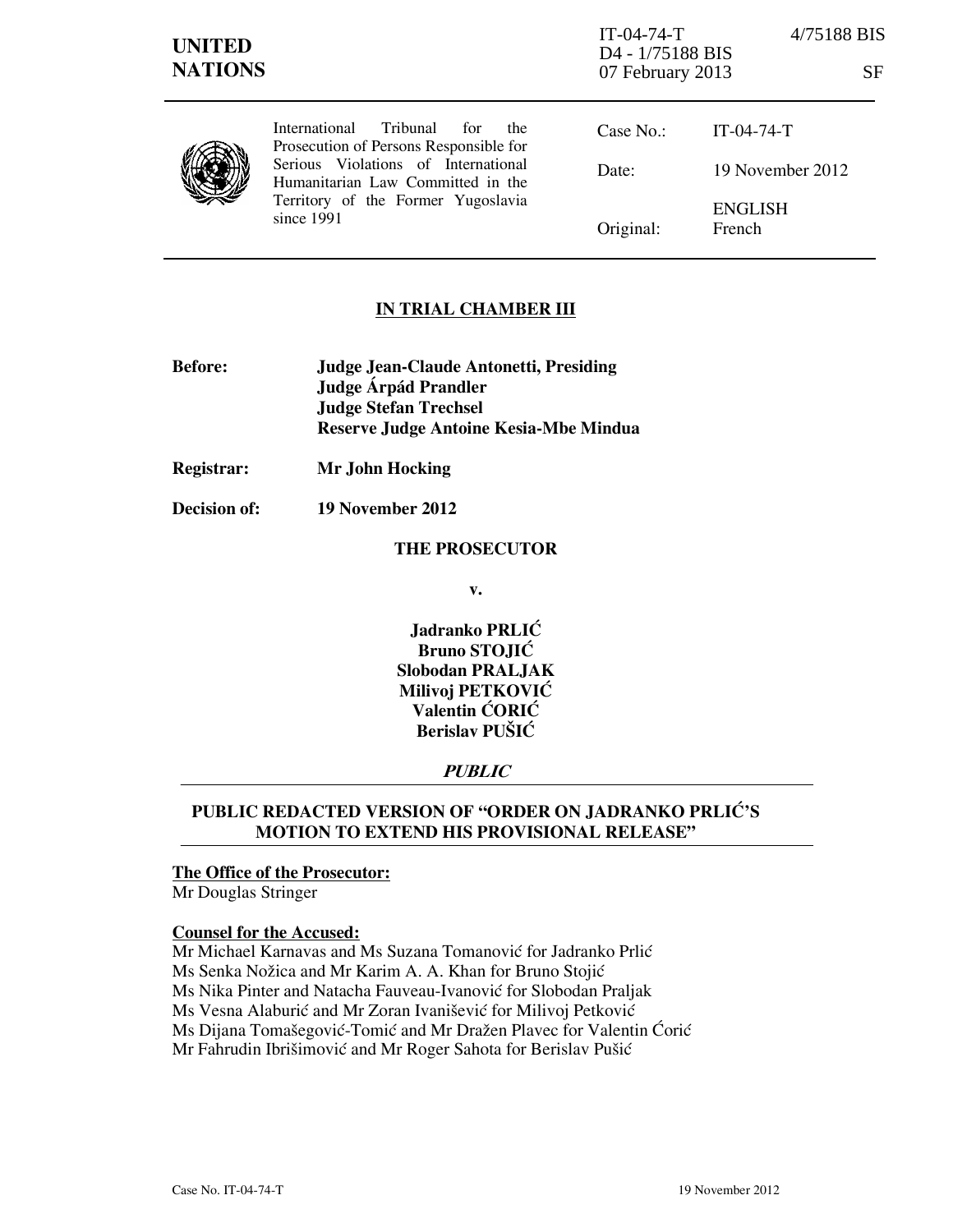| <b>UNITED</b><br><b>NATIONS</b> |                                                                                                                              | $IT-04-74-T$<br>D <sub>4</sub> - 1/75188 BIS<br>07 February 2013 | 4/75188 BIS<br><b>SF</b> |
|---------------------------------|------------------------------------------------------------------------------------------------------------------------------|------------------------------------------------------------------|--------------------------|
|                                 | International Tribunal<br>for<br>the<br>Prosecution of Persons Responsible for                                               | Case No.:                                                        | $IT-04-74-T$             |
|                                 | Serious Violations of International<br>Humanitarian Law Committed in the<br>Territory of the Former Yugoslavia<br>since 1991 | Date:                                                            | 19 November 2012         |
|                                 |                                                                                                                              | Original:                                                        | <b>ENGLISH</b><br>French |

### **IN TRIAL CHAMBER III**

- **Before: Judge Jean-Claude Antonetti, Presiding Judge Árpád Prandler Judge Stefan Trechsel Reserve Judge Antoine Kesia-Mbe Mindua**
- **Registrar: Mr John Hocking**
- **Decision of: 19 November 2012**

#### **THE PROSECUTOR**

**v.** 

**Jadranko PRLIĆ Bruno STOJIĆ Slobodan PRALJAK Milivoj PETKOVIĆ Valentin CORIC Berislav PUŠIĆ** 

### **PUBLIC**

# PUBLIC REDACTED VERSION OF "ORDER ON JADRANKO PRLIĆ'S **MOTION TO EXTEND HIS PROVISIONAL RELEASE"**

# **The Office of the Prosecutor:**

Mr Douglas Stringer

### **Counsel for the Accused:**

Mr Michael Karnavas and Ms Suzana Tomanović for Jadranko Prlić Ms Senka Nožica and Mr Karim A. A. Khan for Bruno Stojić Ms Nika Pinter and Natacha Fauveau-Ivanović for Slobodan Praljak Ms Vesna Alaburić and Mr Zoran Ivanišević for Milivoj Petković Ms Dijana Tomašegović-Tomić and Mr Dražen Plavec for Valentin Ćorić Mr Fahrudin Ibrišimović and Mr Roger Sahota for Berislav Pušić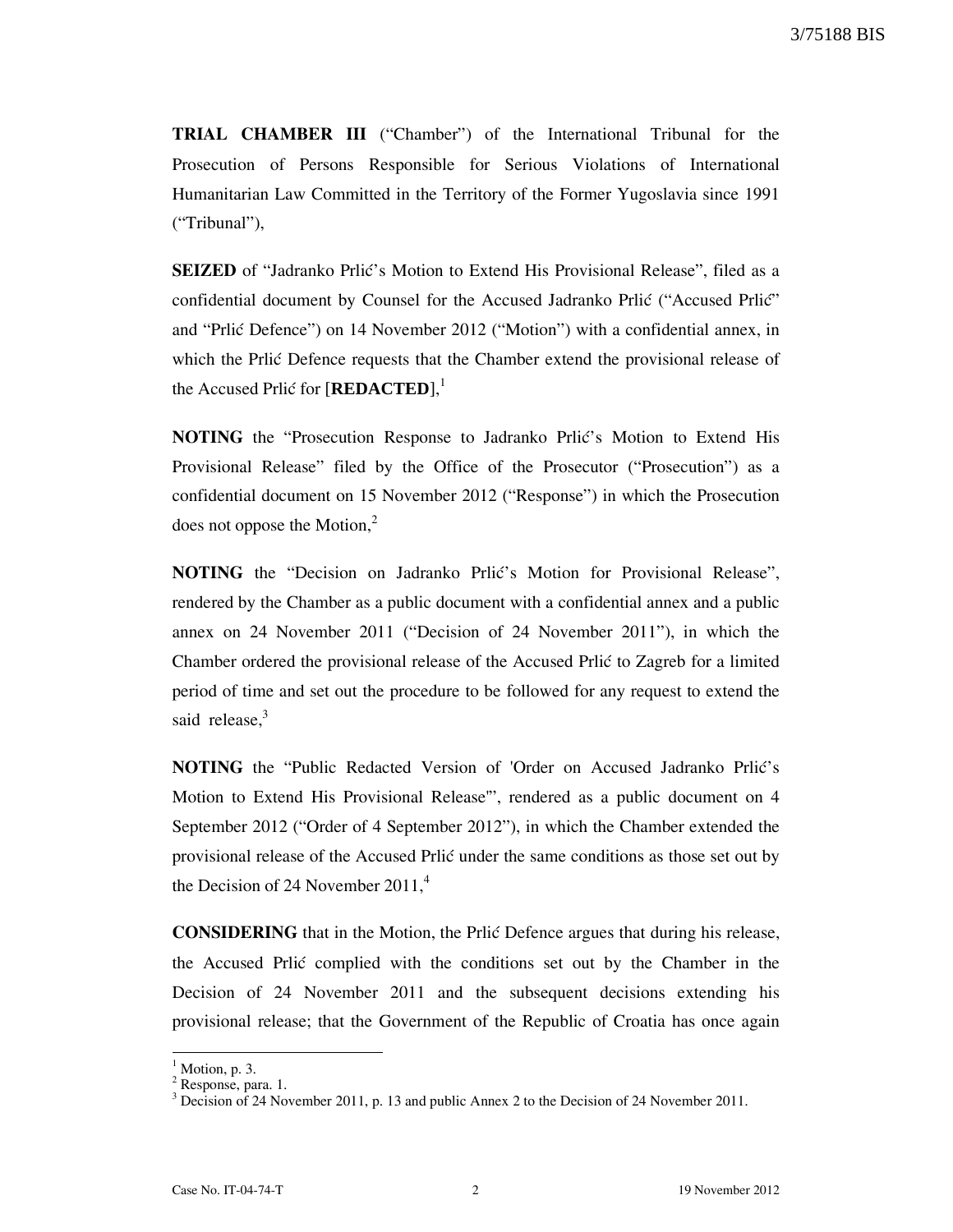**TRIAL CHAMBER III** ("Chamber") of the International Tribunal for the Prosecution of Persons Responsible for Serious Violations of International Humanitarian Law Committed in the Territory of the Former Yugoslavia since 1991 ("Tribunal"),

**SEIZED** of "Jadranko Prlić's Motion to Extend His Provisional Release", filed as a confidential document by Counsel for the Accused Jadranko Prlić ("Accused Prlić" and "Prlić Defence") on 14 November 2012 ("Motion") with a confidential annex, in which the Prlić Defence requests that the Chamber extend the provisional release of the Accused Prlić for [**REDACTED**],<sup>1</sup>

**NOTING** the "Prosecution Response to Jadranko Prlic's Motion to Extend His Provisional Release" filed by the Office of the Prosecutor ("Prosecution") as a confidential document on 15 November 2012 ("Response") in which the Prosecution does not oppose the Motion, $2$ 

**NOTING** the "Decision on Jadranko Prlic's Motion for Provisional Release", rendered by the Chamber as a public document with a confidential annex and a public annex on 24 November 2011 ("Decision of 24 November 2011"), in which the Chamber ordered the provisional release of the Accused Prlić to Zagreb for a limited period of time and set out the procedure to be followed for any request to extend the said release. $3$ 

**NOTING** the "Public Redacted Version of 'Order on Accused Jadranko Prlić's Motion to Extend His Provisional Release'", rendered as a public document on 4 September 2012 ("Order of 4 September 2012"), in which the Chamber extended the provisional release of the Accused Prli} under the same conditions as those set out by the Decision of 24 November  $2011<sup>4</sup>$ 

**CONSIDERING** that in the Motion, the Prlic Defence argues that during his release, the Accused Prlić complied with the conditions set out by the Chamber in the Decision of 24 November 2011 and the subsequent decisions extending his provisional release; that the Government of the Republic of Croatia has once again

 $<sup>1</sup>$  Motion, p. 3.</sup>

<sup>&</sup>lt;sup>2</sup> Response, para. 1.

 $3$  Decision of 24 November 2011, p. 13 and public Annex 2 to the Decision of 24 November 2011.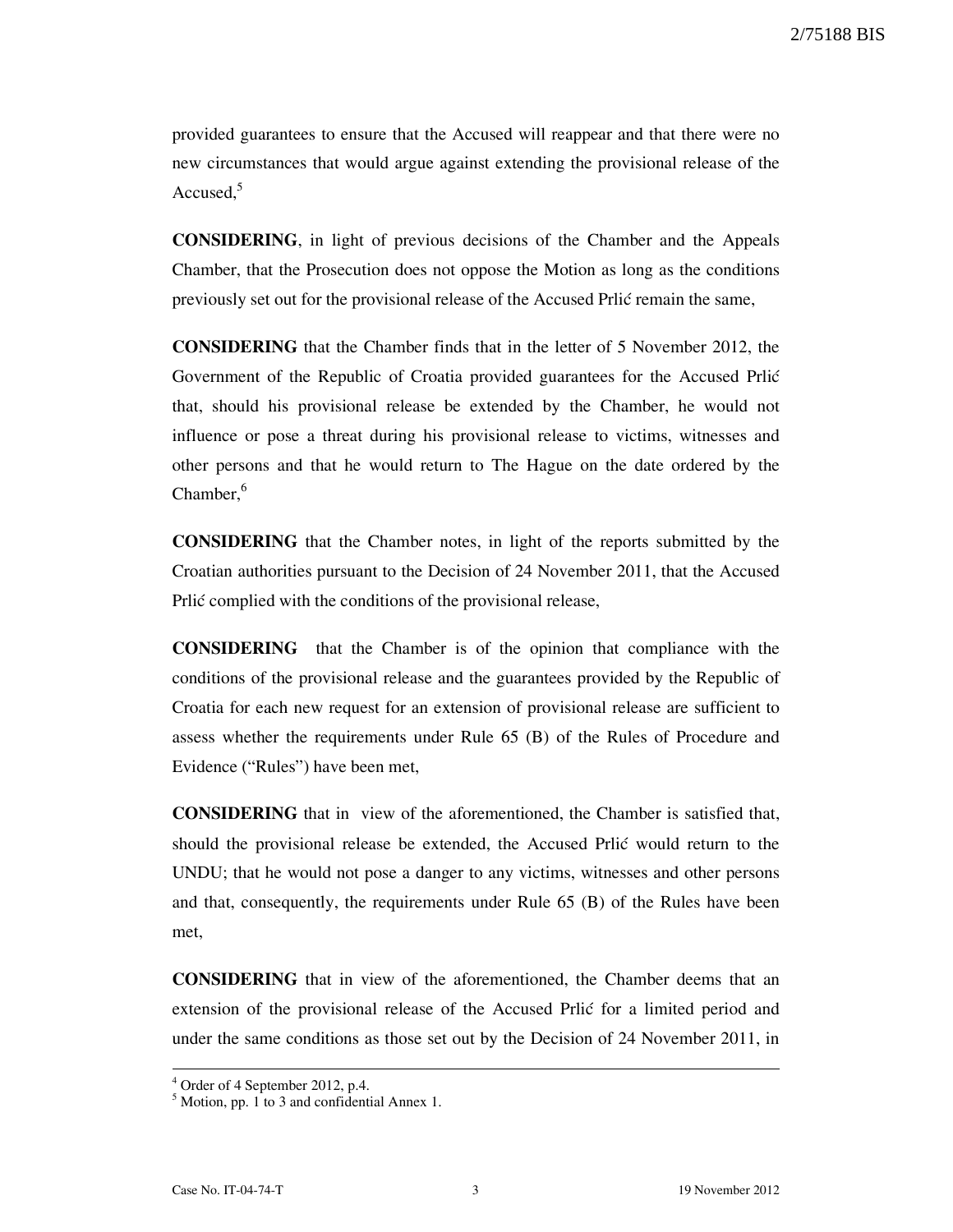2/75188 BIS

provided guarantees to ensure that the Accused will reappear and that there were no new circumstances that would argue against extending the provisional release of the Accused.<sup>5</sup>

**CONSIDERING**, in light of previous decisions of the Chamber and the Appeals Chamber, that the Prosecution does not oppose the Motion as long as the conditions previously set out for the provisional release of the Accused Prlić remain the same,

**CONSIDERING** that the Chamber finds that in the letter of 5 November 2012, the Government of the Republic of Croatia provided guarantees for the Accused Prlić that, should his provisional release be extended by the Chamber, he would not influence or pose a threat during his provisional release to victims, witnesses and other persons and that he would return to The Hague on the date ordered by the  $Chamber<sub>o</sub><sup>6</sup>$ 

**CONSIDERING** that the Chamber notes, in light of the reports submitted by the Croatian authorities pursuant to the Decision of 24 November 2011, that the Accused Prlić complied with the conditions of the provisional release,

**CONSIDERING** that the Chamber is of the opinion that compliance with the conditions of the provisional release and the guarantees provided by the Republic of Croatia for each new request for an extension of provisional release are sufficient to assess whether the requirements under Rule 65 (B) of the Rules of Procedure and Evidence ("Rules") have been met,

**CONSIDERING** that in view of the aforementioned, the Chamber is satisfied that, should the provisional release be extended, the Accused Prlic would return to the UNDU; that he would not pose a danger to any victims, witnesses and other persons and that, consequently, the requirements under Rule 65 (B) of the Rules have been met,

**CONSIDERING** that in view of the aforementioned, the Chamber deems that an extension of the provisional release of the Accused Prlić for a limited period and under the same conditions as those set out by the Decision of 24 November 2011, in

 $\overline{\phantom{a}}$ 

<sup>4</sup> Order of 4 September 2012, p.4.

 $<sup>5</sup>$  Motion, pp. 1 to 3 and confidential Annex 1.</sup>